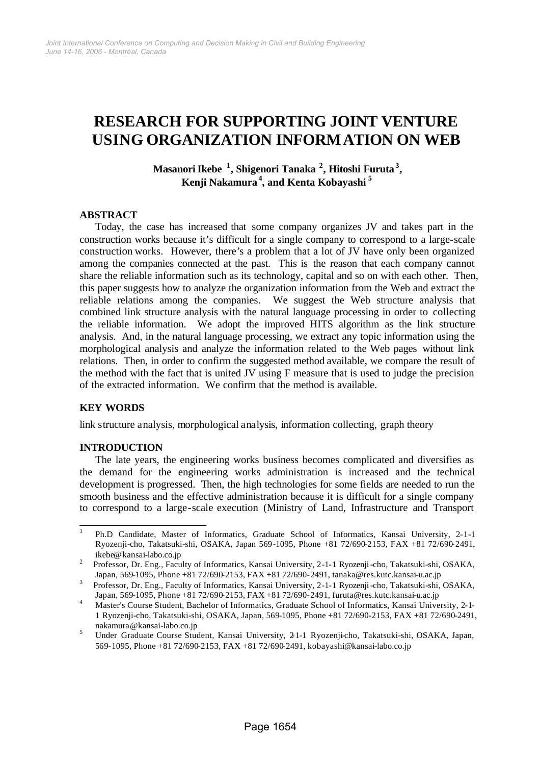# **RESEARCH FOR SUPPORTING JOINT VENTURE USING ORGANIZATION INFORMATION ON WEB**

**Masanori Ikebe <sup>1</sup> , Shigenori Tanaka <sup>2</sup> , Hitoshi Furuta<sup>3</sup> , Kenji Nakamura<sup>4</sup> , and Kenta Kobayashi <sup>5</sup>**

## **ABSTRACT**

Today, the case has increased that some company organizes JV and takes part in the construction works because it's difficult for a single company to correspond to a large-scale construction works. However, there's a problem that a lot of JV have only been organized among the companies connected at the past. This is the reason that each company cannot share the reliable information such as its technology, capital and so on with each other. Then, this paper suggests how to analyze the organization information from the Web and extract the reliable relations among the companies. We suggest the Web structure analysis that combined link structure analysis with the natural language processing in order to collecting the reliable information. We adopt the improved HITS algorithm as the link structure analysis. And, in the natural language processing, we extract any topic information using the morphological analysis and analyze the information related to the Web pages without link relations. Then, in order to confirm the suggested method available, we compare the result of the method with the fact that is united JV using F measure that is used to judge the precision of the extracted information. We confirm that the method is available.

## **KEY WORDS**

link structure analysis, morphological analysis, information collecting, graph theory

## **INTRODUCTION**

The late years, the engineering works business becomes complicated and diversifies as the demand for the engineering works administration is increased and the technical development is progressed. Then, the high technologies for some fields are needed to run the smooth business and the effective administration because it is difficult for a single company to correspond to a large-scale execution (Ministry of Land, Infrastructure and Transport

 $\frac{1}{1}$ Ph.D Candidate, Master of Informatics, Graduate School of Informatics, Kansai University, 2-1-1 Ryozenji-cho, Takatsuki-shi, OSAKA, Japan 569-1095, Phone +81 72/690-2153, FAX +81 72/690-2491, ikebe@kansai-labo.co.jp

<sup>2</sup> Professor, Dr. Eng., Faculty of Informatics, Kansai University, 2-1-1 Ryozenji-cho, Takatsuki-shi, OSAKA, Japan, 569-1095, Phone +81 72/690-2153, FAX +81 72/690-2491, tanaka@res.kutc.kansai-u.ac.jp

<sup>3</sup> Professor, Dr. Eng., Faculty of Informatics, Kansai University, 2-1-1 Ryozenji-cho, Takatsuki-shi, OSAKA, Japan, 569-1095, Phone +81 72/690-2153, FAX +81 72/690-2491, furuta@res.kutc.kansai-u.ac.jp

A Master's Course Student, Bachelor of Informatics, Graduate School of Informatics, Kansai University, 2-1-<br>Master's Course Student, Bachelor of Informatics, Graduate School of Informatics, Kansai University, 2-1-1 Ryozenji-cho, Takatsuki-shi, OSAKA, Japan, 569-1095, Phone +81 72/690-2153, FAX +81 72/690-2491, nakamura@kansai-labo.co.jp

<sup>5</sup> Under Graduate Course Student, Kansai University, 2-1-1 Ryozenji-cho, Takatsuki-shi, OSAKA, Japan, 569-1095, Phone +81 72/690-2153, FAX +81 72/690-2491, kobayashi@kansai-labo.co.jp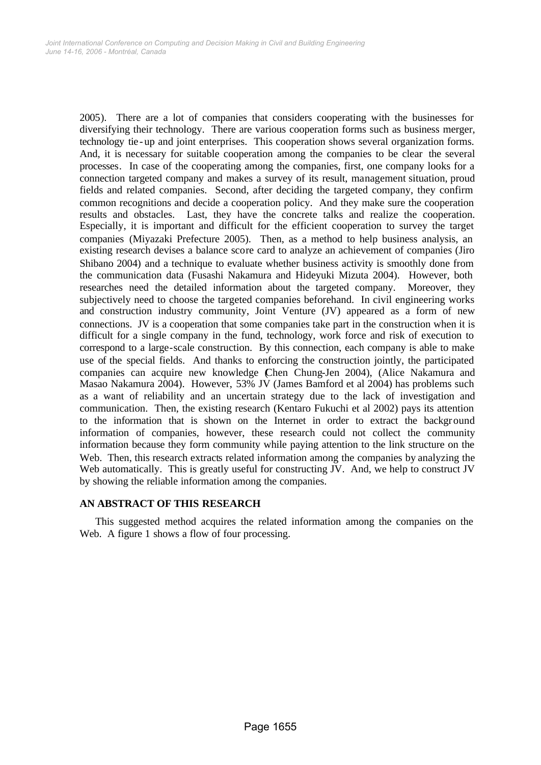2005). There are a lot of companies that considers cooperating with the businesses for diversifying their technology. There are various cooperation forms such as business merger, technology tie-up and joint enterprises. This cooperation shows several organization forms. And, it is necessary for suitable cooperation among the companies to be clear the several processes. In case of the cooperating among the companies, first, one company looks for a connection targeted company and makes a survey of its result, management situation, proud fields and related companies. Second, after deciding the targeted company, they confirm common recognitions and decide a cooperation policy. And they make sure the cooperation results and obstacles. Last, they have the concrete talks and realize the cooperation. Especially, it is important and difficult for the efficient cooperation to survey the target companies (Miyazaki Prefecture 2005). Then, as a method to help business analysis, an existing research devises a balance score card to analyze an achievement of companies (Jiro Shibano 2004) and a technique to evaluate whether business activity is smoothly done from the communication data (Fusashi Nakamura and Hideyuki Mizuta 2004). However, both researches need the detailed information about the targeted company. Moreover, they subjectively need to choose the targeted companies beforehand. In civil engineering works and construction industry community, Joint Venture (JV) appeared as a form of new connections. JV is a cooperation that some companies take part in the construction when it is difficult for a single company in the fund, technology, work force and risk of execution to correspond to a large-scale construction. By this connection, each company is able to make use of the special fields. And thanks to enforcing the construction jointly, the participated companies can acquire new knowledge (Chen Chung-Jen 2004), (Alice Nakamura and Masao Nakamura 2004). However, 53% JV (James Bamford et al 2004) has problems such as a want of reliability and an uncertain strategy due to the lack of investigation and communication. Then, the existing research (Kentaro Fukuchi et al 2002) pays its attention to the information that is shown on the Internet in order to extract the background information of companies, however, these research could not collect the community information because they form community while paying attention to the link structure on the Web. Then, this research extracts related information among the companies by analyzing the Web automatically. This is greatly useful for constructing JV. And, we help to construct JV by showing the reliable information among the companies.

# **AN ABSTRACT OF THIS RESEARCH**

This suggested method acquires the related information among the companies on the Web. A figure 1 shows a flow of four processing.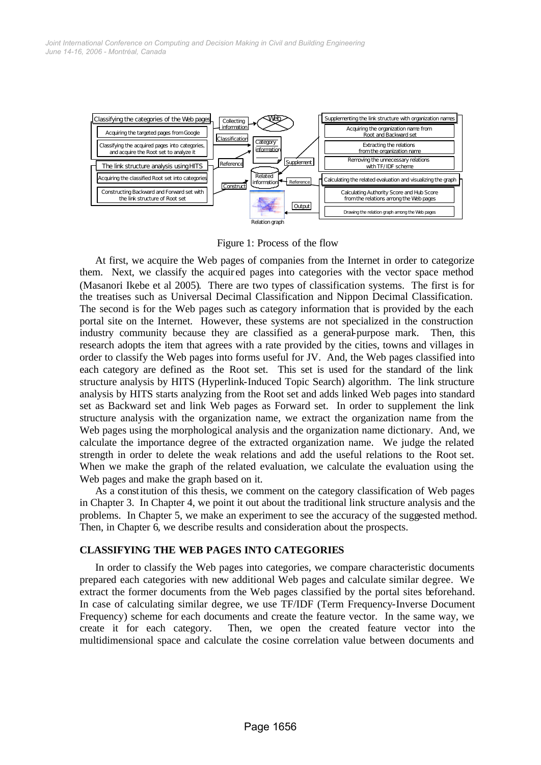

Figure 1: Process of the flow

At first, we acquire the Web pages of companies from the Internet in order to categorize them. Next, we classify the acquir ed pages into categories with the vector space method (Masanori Ikebe et al 2005). There are two types of classification systems. The first is for the treatises such as Universal Decimal Classification and Nippon Decimal Classification. The second is for the Web pages such as category information that is provided by the each portal site on the Internet. However, these systems are not specialized in the construction industry community because they are classified as a general-purpose mark. Then, this research adopts the item that agrees with a rate provided by the cities, towns and villages in order to classify the Web pages into forms useful for JV. And, the Web pages classified into each category are defined as the Root set. This set is used for the standard of the link structure analysis by HITS (Hyperlink-Induced Topic Search) algorithm. The link structure analysis by HITS starts analyzing from the Root set and adds linked Web pages into standard set as Backward set and link Web pages as Forward set. In order to supplement the link structure analysis with the organization name, we extract the organization name from the Web pages using the morphological analysis and the organization name dictionary. And, we calculate the importance degree of the extracted organization name. We judge the related strength in order to delete the weak relations and add the useful relations to the Root set. When we make the graph of the related evaluation, we calculate the evaluation using the Web pages and make the graph based on it.

As a constitution of this thesis, we comment on the category classification of Web pages in Chapter 3. In Chapter 4, we point it out about the traditional link structure analysis and the problems. In Chapter 5, we make an experiment to see the accuracy of the suggested method. Then, in Chapter 6, we describe results and consideration about the prospects.

# **CLASSIFYING THE WEB PAGES INTO CATEGORIES**

In order to classify the Web pages into categories, we compare characteristic documents prepared each categories with new additional Web pages and calculate similar degree. We extract the former documents from the Web pages classified by the portal sites beforehand. In case of calculating similar degree, we use TF/IDF (Term Frequency-Inverse Document Frequency) scheme for each documents and create the feature vector. In the same way, we create it for each category. Then, we open the created feature vector into the multidimensional space and calculate the cosine correlation value between documents and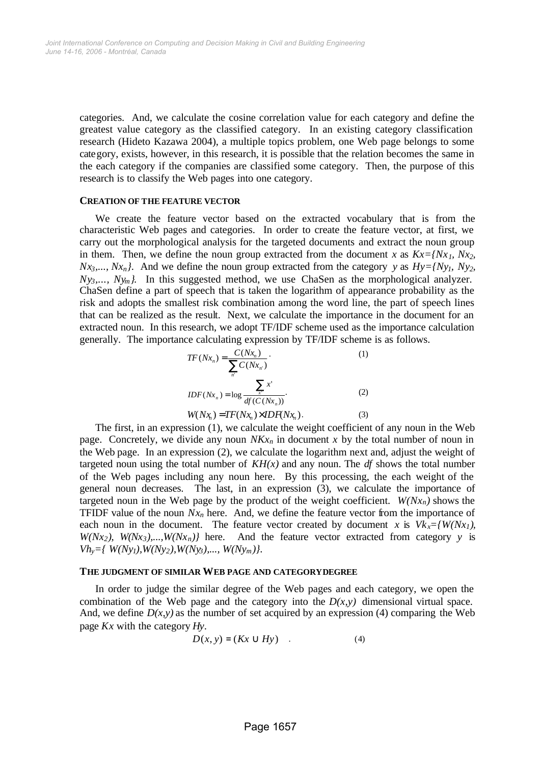categories. And, we calculate the cosine correlation value for each category and define the greatest value category as the classified category. In an existing category classification research (Hideto Kazawa 2004), a multiple topics problem, one Web page belongs to some category, exists, however, in this research, it is possible that the relation becomes the same in the each category if the companies are classified some category. Then, the purpose of this research is to classify the Web pages into one category.

#### **CREATION OF THE FEATURE VECTOR**

We create the feature vector based on the extracted vocabulary that is from the characteristic Web pages and categories. In order to create the feature vector, at first, we carry out the morphological analysis for the targeted documents and extract the noun group in them. Then, we define the noun group extracted from the document *x* as  $Kx=$ {*Nx*<sub>*I*</sub>, *Nx*<sub>2</sub>*, Nx*<sub>3</sub>,..., *Nx*<sub>n</sub>*}*. And we define the noun group extracted from the category *y* as  $Hy=fNy_1$ *, Ny*<sub>2</sub>*, Ny3,..., Nym}*. In this suggested method, we use ChaSen as the morphological analyzer. ChaSen define a part of speech that is taken the logarithm of appearance probability as the risk and adopts the smallest risk combination among the word line, the part of speech lines that can be realized as the result. Next, we calculate the importance in the document for an extracted noun. In this research, we adopt TF/IDF scheme used as the importance calculation generally. The importance calculating expression by TF/IDF scheme is as follows.

$$
TF(Nx_n) = \frac{C(Nx_n)}{\sum_{n'} C(Nx_n)}.
$$
\n
$$
IDF(Nx_n) = \log \frac{\sum_{x'} x'}{df(C(Nx_n))}.
$$
\n
$$
W(Nx_n) = TF(Nx_n) \times IDF(Nx_n).
$$
\n(3)

The first, in an expression (1), we calculate the weight coefficient of any noun in the Web page. Concretely, we divide any noun  $N K x_n$  in document x by the total number of noun in the Web page. In an expression (2), we calculate the logarithm next and, adjust the weight of targeted noun using the total number of  $KH(x)$  and any noun. The  $df$  shows the total number of the Web pages including any noun here. By this processing, the each weight of the general noun decreases. The last, in an expression (3), we calculate the importance of targeted noun in the Web page by the product of the weight coefficient.  $W(Nx_n)$  shows the TFIDF value of the noun  $Nx_n$  here. And, we define the feature vector from the importance of each noun in the document. The feature vector created by document *x* is  $Vk_x = \{W(Nx_1),$  $W(Nx_2)$ ,  $W(Nx_3)$ ,...,  $W(Nx_n)$ } here. And the feature vector extracted from category *y* is  $Vh_y = \{ W(Ny_1), W(Ny_2), W(Ny_3), \ldots, W(Ny_m) \}.$ 

#### **THE JUDGMENT OF SIMILAR WEB PAGE AND CATEGORY DEGREE**

In order to judge the similar degree of the Web pages and each category, we open the combination of the Web page and the category into the  $D(x, y)$  dimensional virtual space. And, we define  $D(x, y)$  as the number of set acquired by an expression (4) comparing the Web page *Kx* with the category *Hy*.

$$
D(x, y) = (Kx \cup Hy) \quad . \tag{4}
$$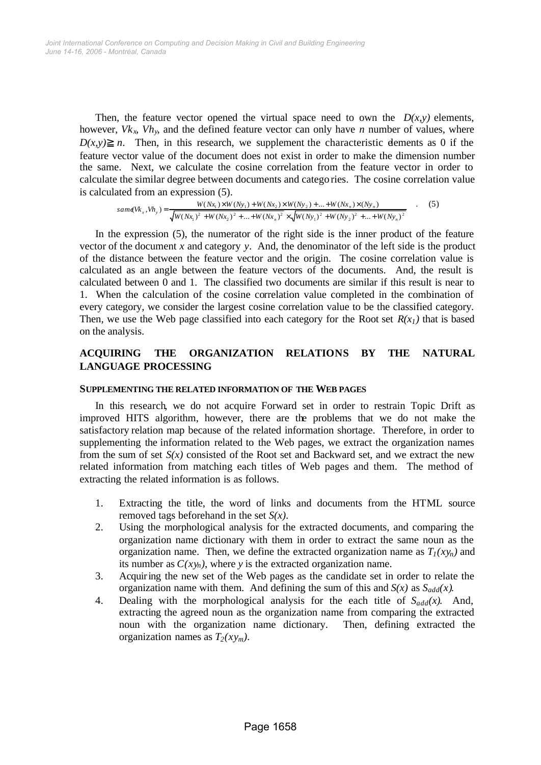Then, the feature vector opened the virtual space need to own the  $D(x, y)$  elements, however, *Vkx*, *Vhy*, and the defined feature vector can only have *n* number of values, where  $D(x,y)$  *n*. Then, in this research, we supplement the characteristic dements as 0 if the feature vector value of the document does not exist in order to make the dimension number the same. Next, we calculate the cosine correlation from the feature vector in order to calculate the similar degree between documents and catego ries. The cosine correlation value is calculated from an expression (5).

$$
sam\epsilon(\mathbf{W}_x, \mathbf{W}_y) = \frac{W(Nx_1) \times W(Ny_1) + W(Nx_2) \times W(Ny_2) + \dots + W(Nx_n) \times (Ny_n)}{\sqrt{W(Nx_1)^2 + W(Nx_2)^2 + \dots + W(Nx_n)^2} \times \sqrt{W(Ny_1)^2 + W(Ny_2)^2 + \dots + W(Ny_n)^2}}
$$
(5)

In the expression (5), the numerator of the right side is the inner product of the feature vector of the document *x* and category *y*. And, the denominator of the left side is the product of the distance between the feature vector and the origin. The cosine correlation value is calculated as an angle between the feature vectors of the documents. And, the result is calculated between 0 and 1. The classified two documents are similar if this result is near to 1. When the calculation of the cosine correlation value completed in the combination of every category, we consider the largest cosine correlation value to be the classified category. Then, we use the Web page classified into each category for the Root set  $R(x<sub>1</sub>)$  that is based on the analysis.

# **ACQUIRING THE ORGANIZATION RELATIONS BY THE NATURAL LANGUAGE PROCESSING**

## **SUPPLEMENTING THE RELATED INFORMATION OF THE WEB PAGES**

In this research, we do not acquire Forward set in order to restrain Topic Drift as improved HITS algorithm, however, there are the problems that we do not make the satisfactory relation map because of the related information shortage. Therefore, in order to supplementing the information related to the Web pages, we extract the organization names from the sum of set  $S(x)$  consisted of the Root set and Backward set, and we extract the new related information from matching each titles of Web pages and them. The method of extracting the related information is as follows.

- 1. Extracting the title, the word of links and documents from the HTML source removed tags beforehand in the set *S(x)*.
- 2. Using the morphological analysis for the extracted documents, and comparing the organization name dictionary with them in order to extract the same noun as the organization name. Then, we define the extracted organization name as  $T_1(xy_n)$  and its number as  $C(xy_n)$ , where y is the extracted organization name.
- 3. Acquiring the new set of the Web pages as the candidate set in order to relate the organization name with them. And defining the sum of this and  $S(x)$  as  $S_{add}(x)$ .
- 4. Dealing with the morphological analysis for the each title of  $S_{add}(x)$ . And, extracting the agreed noun as the organization name from comparing the extracted noun with the organization name dictionary. Then, defining extracted the organization names as  $T_2(xy_m)$ .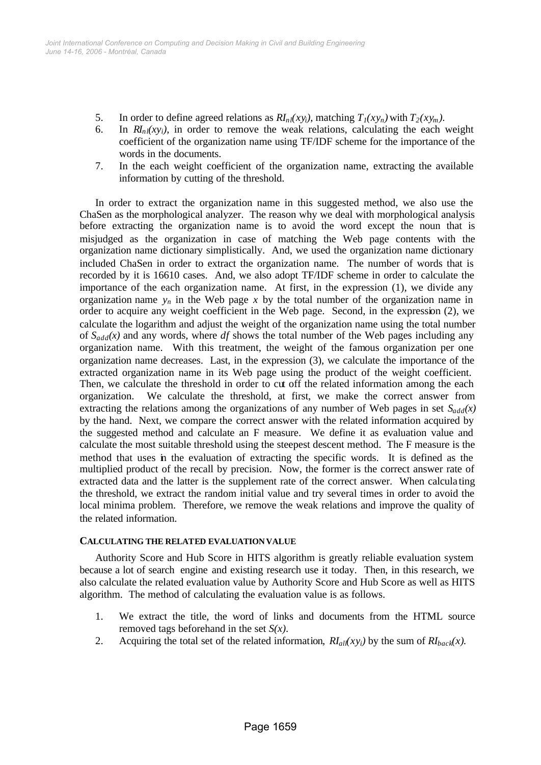- 5. In order to define agreed relations as  $RI<sub>n</sub>l(xy<sub>i</sub>)$ , matching  $T<sub>1</sub>(xy<sub>n</sub>)$  with  $T<sub>2</sub>(xy<sub>m</sub>)$ .
- 6. In  $RI<sub>nl</sub>(xy<sub>i</sub>)$ , in order to remove the weak relations, calculating the each weight coefficient of the organization name using TF/IDF scheme for the importance of the words in the documents.
- 7. In the each weight coefficient of the organization name, extracting the available information by cutting of the threshold.

In order to extract the organization name in this suggested method, we also use the ChaSen as the morphological analyzer. The reason why we deal with morphological analysis before extracting the organization name is to avoid the word except the noun that is misjudged as the organization in case of matching the Web page contents with the organization name dictionary simplistically. And, we used the organization name dictionary included ChaSen in order to extract the organization name. The number of words that is recorded by it is 16610 cases. And, we also adopt TF/IDF scheme in order to calculate the importance of the each organization name. At first, in the expression (1), we divide any organization name  $y_n$  in the Web page x by the total number of the organization name in order to acquire any weight coefficient in the Web page. Second, in the expression (2), we calculate the logarithm and adjust the weight of the organization name using the total number of  $S_{add}(x)$  and any words, where *df* shows the total number of the Web pages including any organization name. With this treatment, the weight of the famous organization per one organization name decreases. Last, in the expression (3), we calculate the importance of the extracted organization name in its Web page using the product of the weight coefficient. Then, we calculate the threshold in order to cut off the related information among the each organization. We calculate the threshold, at first, we make the correct answer from extracting the relations among the organizations of any number of Web pages in set *Sadd(x)* by the hand. Next, we compare the correct answer with the related information acquired by the suggested method and calculate an F measure. We define it as evaluation value and calculate the most suitable threshold using the steepest descent method. The F measure is the method that uses in the evaluation of extracting the specific words. It is defined as the multiplied product of the recall by precision. Now, the former is the correct answer rate of extracted data and the latter is the supplement rate of the correct answer. When calcula ting the threshold, we extract the random initial value and try several times in order to avoid the local minima problem. Therefore, we remove the weak relations and improve the quality of the related information.

# **CALCULATING THE RELATED EVALUATION VALUE**

Authority Score and Hub Score in HITS algorithm is greatly reliable evaluation system because a lot of search engine and existing research use it today. Then, in this research, we also calculate the related evaluation value by Authority Score and Hub Score as well as HITS algorithm. The method of calculating the evaluation value is as follows.

- 1. We extract the title, the word of links and documents from the HTML source removed tags beforehand in the set *S(x)*.
- 2. Acquiring the total set of the related information,  $R I_{all}(xy_i)$  by the sum of  $R I_{back}(x)$ .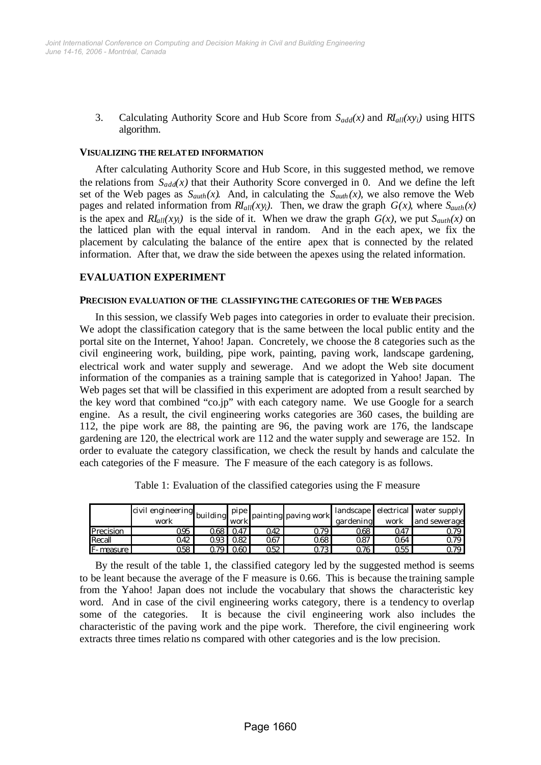3. Calculating Authority Score and Hub Score from *Sadd(x)* and *RIall(xyi)* using HITS algorithm.

#### **VISUALIZING THE RELATED INFORMATION**

After calculating Authority Score and Hub Score, in this suggested method, we remove the relations from  $S_{add}(x)$  that their Authority Score converged in 0. And we define the left set of the Web pages as  $S_{auth}(x)$ . And, in calculating the  $S_{auth}(x)$ , we also remove the Web pages and related information from  $R_{all}(xy_i)$ . Then, we draw the graph  $G(x)$ , where  $S_{auth}(x)$ is the apex and  $RI_{all}(xy_i)$  is the side of it. When we draw the graph  $G(x)$ , we put  $S_{auth}(x)$  on the latticed plan with the equal interval in random. And in the each apex, we fix the placement by calculating the balance of the entire apex that is connected by the related information. After that, we draw the side between the apexes using the related information.

## **EVALUATION EXPERIMENT**

#### **PRECISION EVALUATION OF THE CLASSIFYING THE CATEGORIES OF THE WEB PAGES**

In this session, we classify Web pages into categories in order to evaluate their precision. We adopt the classification category that is the same between the local public entity and the portal site on the Internet, Yahoo! Japan. Concretely, we choose the 8 categories such as the civil engineering work, building, pipe work, painting, paving work, landscape gardening, electrical work and water supply and sewerage. And we adopt the Web site document information of the companies as a training sample that is categorized in Yahoo! Japan. The Web pages set that will be classified in this experiment are adopted from a result searched by the key word that combined "co.jp" with each category name. We use Google for a search engine. As a result, the civil engineering works categories are 360 cases, the building are 112, the pipe work are 88, the painting are 96, the paving work are 176, the landscape gardening are 120, the electrical work are 112 and the water supply and sewerage are 152. In order to evaluate the category classification, we check the result by hands and calculate the each categories of the F measure. The F measure of the each category is as follows.

|                    | $\overline{\text{civil}}$ engineering building $P^{\mu\nu}$<br>work |          | work |         | painting paving work | gardening | work | landscape electrical water supply<br>and sewerage |
|--------------------|---------------------------------------------------------------------|----------|------|---------|----------------------|-----------|------|---------------------------------------------------|
| Precision          | 095                                                                 | 2681     | 047  | 042     | 0791                 | 268       | 047  | .179                                              |
| Recall             | 042                                                                 | 293 I    | 082  | 067     | 068                  | 087       | 064  | 0.79                                              |
| <b>IF-</b> measure | 058.                                                                | $\infty$ | റഌ   | $252 -$ | 273                  | ೧76       | 055  | 0.79                                              |

Table 1: Evaluation of the classified categories using the F measure

By the result of the table 1, the classified category led by the suggested method is seems to be leant because the average of the F measure is 0.66. This is because the training sample from the Yahoo! Japan does not include the vocabulary that shows the characteristic key word. And in case of the civil engineering works category, there is a tendency to overlap some of the categories. It is because the civil engineering work also includes the characteristic of the paving work and the pipe work. Therefore, the civil engineering work extracts three times relatio ns compared with other categories and is the low precision.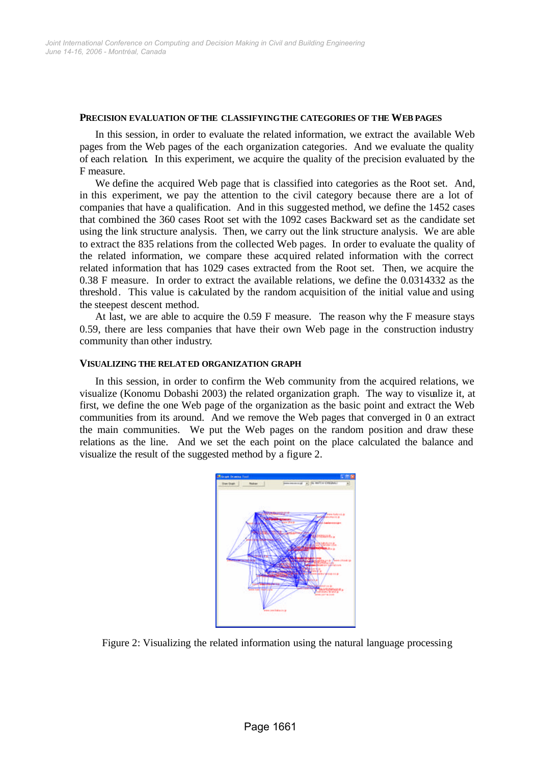#### **PRECISION EVALUATION OF THE CLASSIFYING THE CATEGORIES OF THE WEB PAGES**

In this session, in order to evaluate the related information, we extract the available Web pages from the Web pages of the each organization categories. And we evaluate the quality of each relation. In this experiment, we acquire the quality of the precision evaluated by the F measure.

We define the acquired Web page that is classified into categories as the Root set. And, in this experiment, we pay the attention to the civil category because there are a lot of companies that have a qualification. And in this suggested method, we define the 1452 cases that combined the 360 cases Root set with the 1092 cases Backward set as the candidate set using the link structure analysis. Then, we carry out the link structure analysis. We are able to extract the 835 relations from the collected Web pages. In order to evaluate the quality of the related information, we compare these acquired related information with the correct related information that has 1029 cases extracted from the Root set. Then, we acquire the 0.38 F measure. In order to extract the available relations, we define the 0.0314332 as the threshold. This value is calculated by the random acquisition of the initial value and using the steepest descent method.

At last, we are able to acquire the 0.59 F measure. The reason why the F measure stays 0.59, there are less companies that have their own Web page in the construction industry community than other industry.

## **VISUALIZING THE RELATED ORGANIZATION GRAPH**

In this session, in order to confirm the Web community from the acquired relations, we visualize (Konomu Dobashi 2003) the related organization graph. The way to visualize it, at first, we define the one Web page of the organization as the basic point and extract the Web communities from its around. And we remove the Web pages that converged in 0 an extract the main communities. We put the Web pages on the random position and draw these relations as the line. And we set the each point on the place calculated the balance and visualize the result of the suggested method by a figure 2.



Figure 2: Visualizing the related information using the natural language processing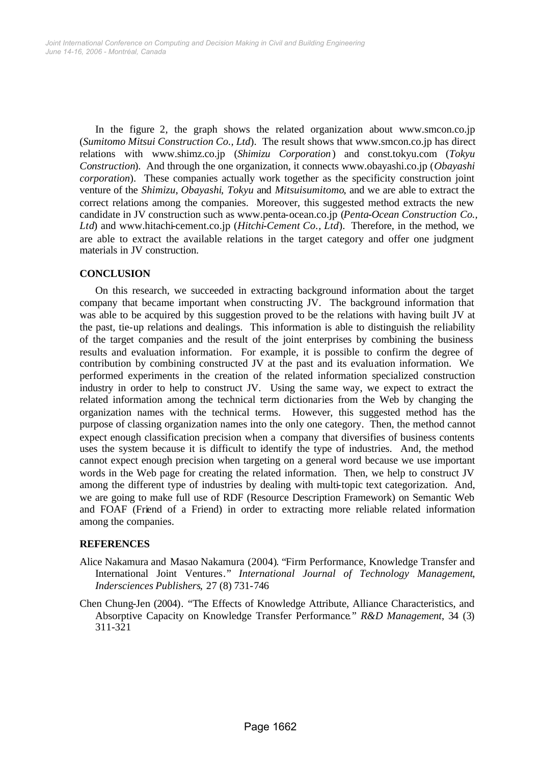In the figure 2, the graph shows the related organization about www.smcon.co.jp (*Sumitomo Mitsui Construction Co., Ltd*). The result shows that www.smcon.co.jp has direct relations with www.shimz.co.jp (*Shimizu Corporation*) and const.tokyu.com (*Tokyu Construction*). And through the one organization, it connects www.obayashi.co.jp (*Obayashi corporation*). These companies actually work together as the specificity construction joint venture of the *Shimizu*, *Obayashi*, *Tokyu* and *Mitsuisumitomo*, and we are able to extract the correct relations among the companies. Moreover, this suggested method extracts the new candidate in JV construction such as www.penta-ocean.co.jp (*Penta-Ocean Construction Co., Ltd*) and www.hitachi-cement.co.jp (*Hitchi-Cement Co., Ltd*). Therefore, in the method, we are able to extract the available relations in the target category and offer one judgment materials in JV construction.

# **CONCLUSION**

On this research, we succeeded in extracting background information about the target company that became important when constructing JV. The background information that was able to be acquired by this suggestion proved to be the relations with having built JV at the past, tie-up relations and dealings. This information is able to distinguish the reliability of the target companies and the result of the joint enterprises by combining the business results and evaluation information. For example, it is possible to confirm the degree of contribution by combining constructed JV at the past and its evaluation information. We performed experiments in the creation of the related information specialized construction industry in order to help to construct JV. Using the same way, we expect to extract the related information among the technical term dictionaries from the Web by changing the organization names with the technical terms. However, this suggested method has the purpose of classing organization names into the only one category. Then, the method cannot expect enough classification precision when a company that diversifies of business contents uses the system because it is difficult to identify the type of industries. And, the method cannot expect enough precision when targeting on a general word because we use important words in the Web page for creating the related information. Then, we help to construct JV among the different type of industries by dealing with multi-topic text categorization. And, we are going to make full use of RDF (Resource Description Framework) on Semantic Web and FOAF (Friend of a Friend) in order to extracting more reliable related information among the companies.

## **REFERENCES**

- Alice Nakamura and Masao Nakamura (2004). "Firm Performance, Knowledge Transfer and International Joint Ventures." *International Journal of Technology Management*, *Indersciences Publishers*, 27 (8) 731-746
- Chen Chung-Jen (2004). "The Effects of Knowledge Attribute, Alliance Characteristics, and Absorptive Capacity on Knowledge Transfer Performance." *R&D Management*, 34 (3) 311-321